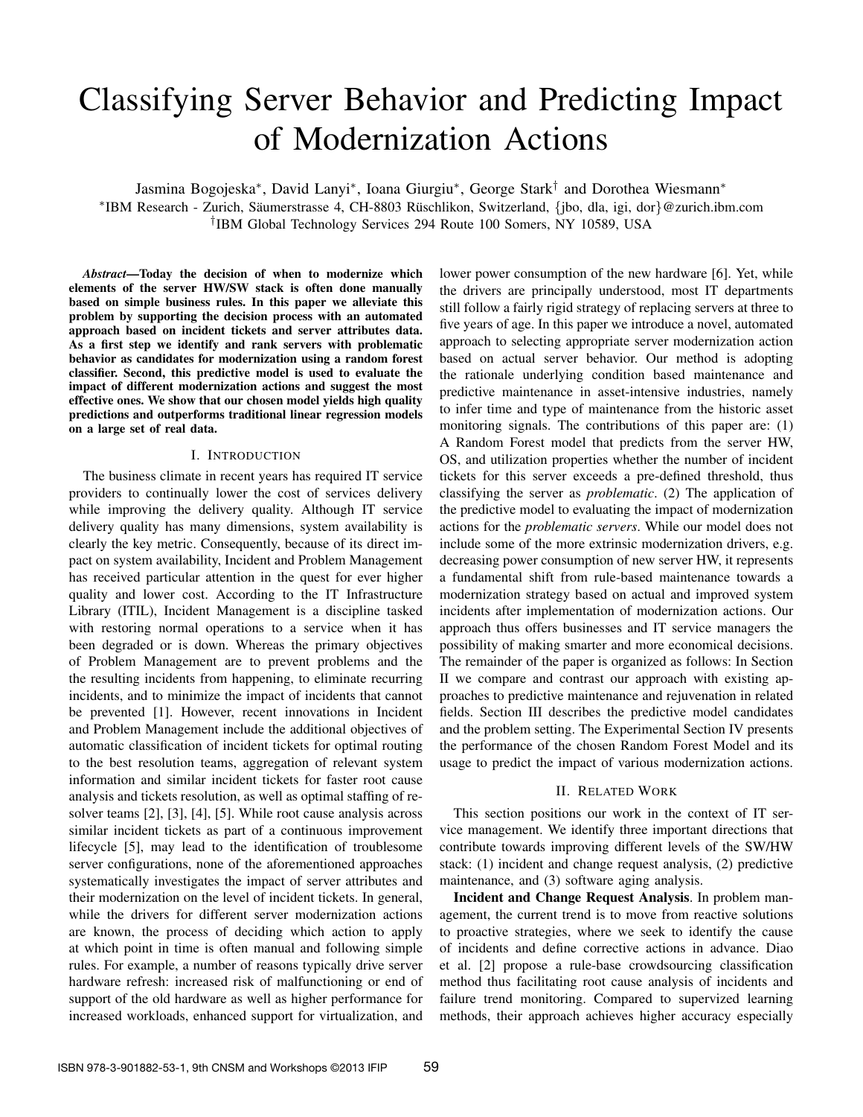# Classifying Server Behavior and Predicting Impact of Modernization Actions

Jasmina Bogojeska<sup>∗</sup> , David Lanyi<sup>∗</sup> , Ioana Giurgiu<sup>∗</sup> , George Stark† and Dorothea Wiesmann<sup>∗</sup> \*IBM Research - Zurich, Säumerstrasse 4, CH-8803 Rüschlikon, Switzerland, {jbo, dla, igi, dor}@zurich.ibm.com † IBM Global Technology Services 294 Route 100 Somers, NY 10589, USA

*Abstract*—Today the decision of when to modernize which elements of the server HW/SW stack is often done manually based on simple business rules. In this paper we alleviate this problem by supporting the decision process with an automated approach based on incident tickets and server attributes data. As a first step we identify and rank servers with problematic behavior as candidates for modernization using a random forest classifier. Second, this predictive model is used to evaluate the impact of different modernization actions and suggest the most effective ones. We show that our chosen model yields high quality predictions and outperforms traditional linear regression models on a large set of real data.

#### I. INTRODUCTION

The business climate in recent years has required IT service providers to continually lower the cost of services delivery while improving the delivery quality. Although IT service delivery quality has many dimensions, system availability is clearly the key metric. Consequently, because of its direct impact on system availability, Incident and Problem Management has received particular attention in the quest for ever higher quality and lower cost. According to the IT Infrastructure Library (ITIL), Incident Management is a discipline tasked with restoring normal operations to a service when it has been degraded or is down. Whereas the primary objectives of Problem Management are to prevent problems and the the resulting incidents from happening, to eliminate recurring incidents, and to minimize the impact of incidents that cannot be prevented [1]. However, recent innovations in Incident and Problem Management include the additional objectives of automatic classification of incident tickets for optimal routing to the best resolution teams, aggregation of relevant system information and similar incident tickets for faster root cause analysis and tickets resolution, as well as optimal staffing of resolver teams [2], [3], [4], [5]. While root cause analysis across similar incident tickets as part of a continuous improvement lifecycle [5], may lead to the identification of troublesome server configurations, none of the aforementioned approaches systematically investigates the impact of server attributes and their modernization on the level of incident tickets. In general, while the drivers for different server modernization actions are known, the process of deciding which action to apply at which point in time is often manual and following simple rules. For example, a number of reasons typically drive server hardware refresh: increased risk of malfunctioning or end of support of the old hardware as well as higher performance for increased workloads, enhanced support for virtualization, and

lower power consumption of the new hardware [6]. Yet, while the drivers are principally understood, most IT departments still follow a fairly rigid strategy of replacing servers at three to five years of age. In this paper we introduce a novel, automated approach to selecting appropriate server modernization action based on actual server behavior. Our method is adopting the rationale underlying condition based maintenance and predictive maintenance in asset-intensive industries, namely to infer time and type of maintenance from the historic asset monitoring signals. The contributions of this paper are: (1) A Random Forest model that predicts from the server HW, OS, and utilization properties whether the number of incident tickets for this server exceeds a pre-defined threshold, thus classifying the server as *problematic*. (2) The application of the predictive model to evaluating the impact of modernization actions for the *problematic servers*. While our model does not include some of the more extrinsic modernization drivers, e.g. decreasing power consumption of new server HW, it represents a fundamental shift from rule-based maintenance towards a modernization strategy based on actual and improved system incidents after implementation of modernization actions. Our approach thus offers businesses and IT service managers the possibility of making smarter and more economical decisions. The remainder of the paper is organized as follows: In Section II we compare and contrast our approach with existing approaches to predictive maintenance and rejuvenation in related fields. Section III describes the predictive model candidates and the problem setting. The Experimental Section IV presents the performance of the chosen Random Forest Model and its usage to predict the impact of various modernization actions.

## II. RELATED WORK

This section positions our work in the context of IT service management. We identify three important directions that contribute towards improving different levels of the SW/HW stack: (1) incident and change request analysis, (2) predictive maintenance, and (3) software aging analysis.

Incident and Change Request Analysis. In problem management, the current trend is to move from reactive solutions to proactive strategies, where we seek to identify the cause of incidents and define corrective actions in advance. Diao et al. [2] propose a rule-base crowdsourcing classification method thus facilitating root cause analysis of incidents and failure trend monitoring. Compared to supervized learning methods, their approach achieves higher accuracy especially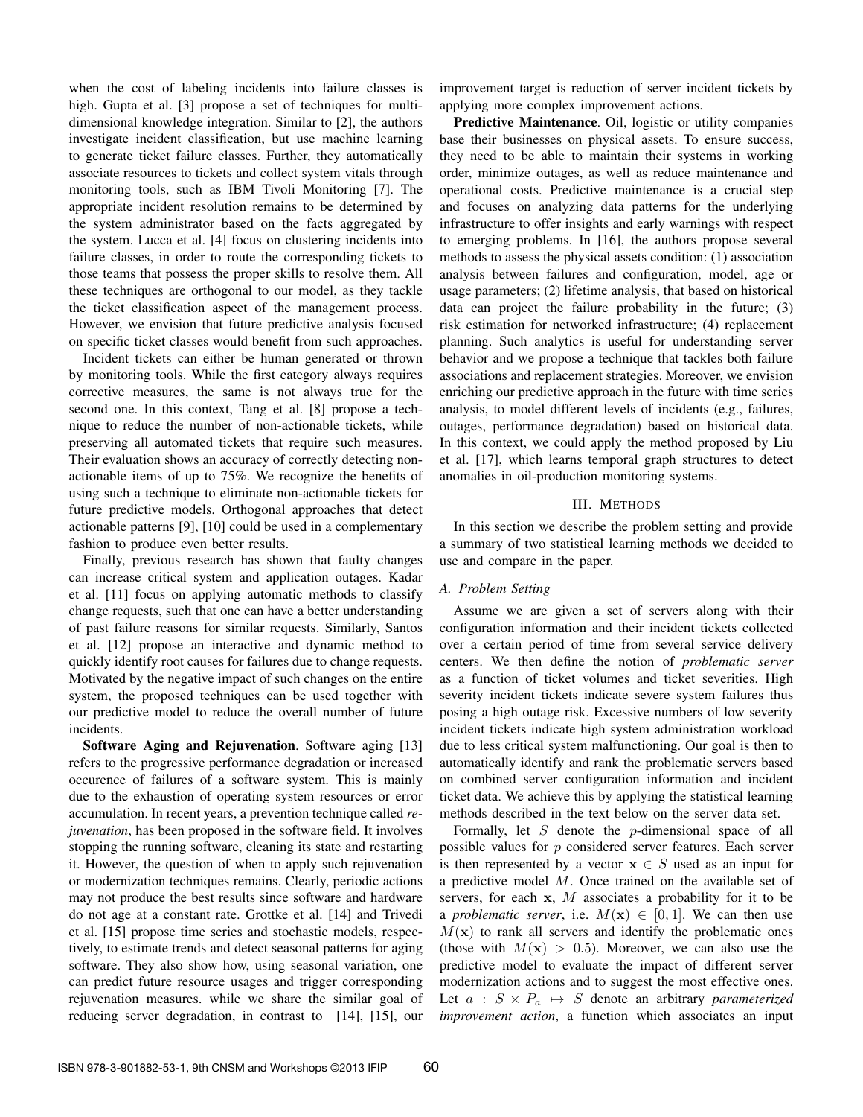when the cost of labeling incidents into failure classes is high. Gupta et al. [3] propose a set of techniques for multidimensional knowledge integration. Similar to [2], the authors investigate incident classification, but use machine learning to generate ticket failure classes. Further, they automatically associate resources to tickets and collect system vitals through monitoring tools, such as IBM Tivoli Monitoring [7]. The appropriate incident resolution remains to be determined by the system administrator based on the facts aggregated by the system. Lucca et al. [4] focus on clustering incidents into failure classes, in order to route the corresponding tickets to those teams that possess the proper skills to resolve them. All these techniques are orthogonal to our model, as they tackle the ticket classification aspect of the management process. However, we envision that future predictive analysis focused on specific ticket classes would benefit from such approaches.

Incident tickets can either be human generated or thrown by monitoring tools. While the first category always requires corrective measures, the same is not always true for the second one. In this context, Tang et al. [8] propose a technique to reduce the number of non-actionable tickets, while preserving all automated tickets that require such measures. Their evaluation shows an accuracy of correctly detecting nonactionable items of up to 75%. We recognize the benefits of using such a technique to eliminate non-actionable tickets for future predictive models. Orthogonal approaches that detect actionable patterns [9], [10] could be used in a complementary fashion to produce even better results.

Finally, previous research has shown that faulty changes can increase critical system and application outages. Kadar et al. [11] focus on applying automatic methods to classify change requests, such that one can have a better understanding of past failure reasons for similar requests. Similarly, Santos et al. [12] propose an interactive and dynamic method to quickly identify root causes for failures due to change requests. Motivated by the negative impact of such changes on the entire system, the proposed techniques can be used together with our predictive model to reduce the overall number of future incidents.

Software Aging and Rejuvenation. Software aging [13] refers to the progressive performance degradation or increased occurence of failures of a software system. This is mainly due to the exhaustion of operating system resources or error accumulation. In recent years, a prevention technique called *rejuvenation*, has been proposed in the software field. It involves stopping the running software, cleaning its state and restarting it. However, the question of when to apply such rejuvenation or modernization techniques remains. Clearly, periodic actions may not produce the best results since software and hardware do not age at a constant rate. Grottke et al. [14] and Trivedi et al. [15] propose time series and stochastic models, respectively, to estimate trends and detect seasonal patterns for aging software. They also show how, using seasonal variation, one can predict future resource usages and trigger corresponding rejuvenation measures. while we share the similar goal of reducing server degradation, in contrast to [14], [15], our

improvement target is reduction of server incident tickets by applying more complex improvement actions.

Predictive Maintenance. Oil, logistic or utility companies base their businesses on physical assets. To ensure success, they need to be able to maintain their systems in working order, minimize outages, as well as reduce maintenance and operational costs. Predictive maintenance is a crucial step and focuses on analyzing data patterns for the underlying infrastructure to offer insights and early warnings with respect to emerging problems. In [16], the authors propose several methods to assess the physical assets condition: (1) association analysis between failures and configuration, model, age or usage parameters; (2) lifetime analysis, that based on historical data can project the failure probability in the future; (3) risk estimation for networked infrastructure; (4) replacement planning. Such analytics is useful for understanding server behavior and we propose a technique that tackles both failure associations and replacement strategies. Moreover, we envision enriching our predictive approach in the future with time series analysis, to model different levels of incidents (e.g., failures, outages, performance degradation) based on historical data. In this context, we could apply the method proposed by Liu et al. [17], which learns temporal graph structures to detect anomalies in oil-production monitoring systems.

## III. METHODS

In this section we describe the problem setting and provide a summary of two statistical learning methods we decided to use and compare in the paper.

## *A. Problem Setting*

Assume we are given a set of servers along with their configuration information and their incident tickets collected over a certain period of time from several service delivery centers. We then define the notion of *problematic server* as a function of ticket volumes and ticket severities. High severity incident tickets indicate severe system failures thus posing a high outage risk. Excessive numbers of low severity incident tickets indicate high system administration workload due to less critical system malfunctioning. Our goal is then to automatically identify and rank the problematic servers based on combined server configuration information and incident ticket data. We achieve this by applying the statistical learning methods described in the text below on the server data set.

Formally, let  $S$  denote the  $p$ -dimensional space of all possible values for p considered server features. Each server is then represented by a vector  $x \in S$  used as an input for a predictive model M. Once trained on the available set of servers, for each  $x$ ,  $M$  associates a probability for it to be a *problematic server*, i.e.  $M(\mathbf{x}) \in [0,1]$ . We can then use  $M(\mathbf{x})$  to rank all servers and identify the problematic ones (those with  $M(x) > 0.5$ ). Moreover, we can also use the predictive model to evaluate the impact of different server modernization actions and to suggest the most effective ones. Let  $a : S \times P_a \mapsto S$  denote an arbitrary *parameterized improvement action*, a function which associates an input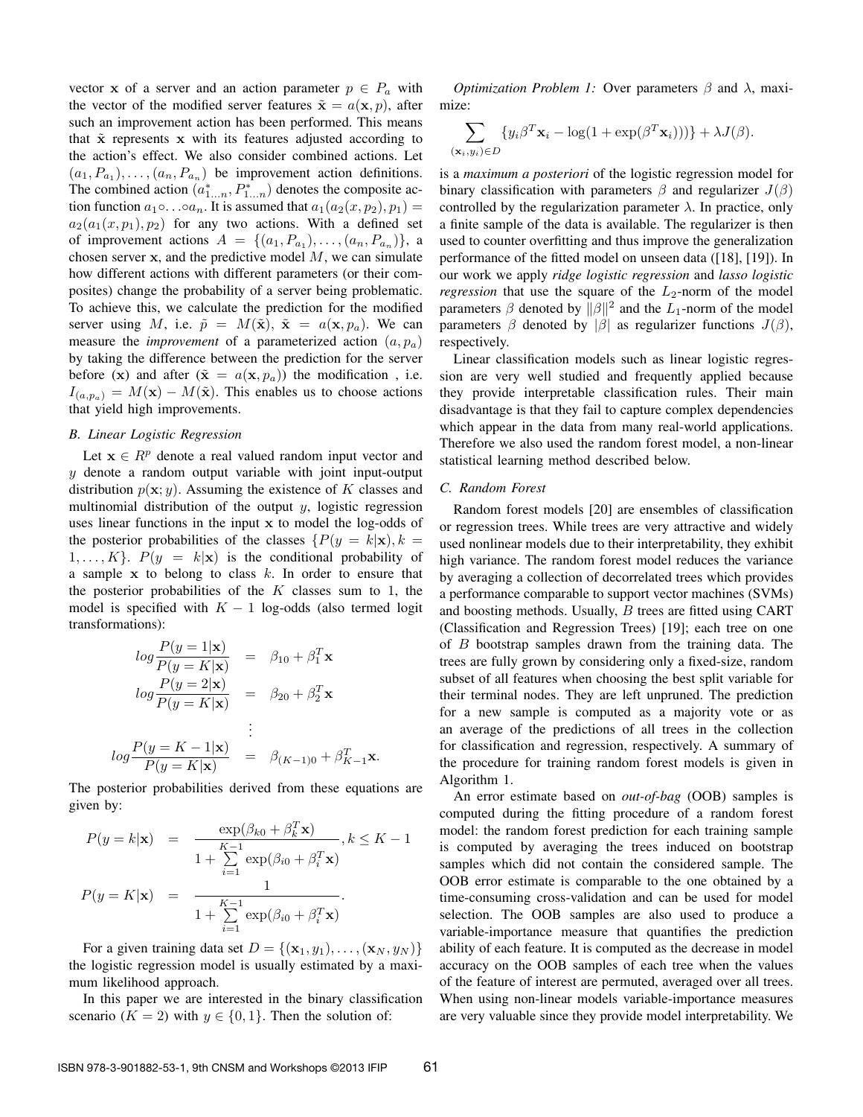vector x of a server and an action parameter  $p \in P_a$  with the vector of the modified server features  $\tilde{\mathbf{x}} = a(\mathbf{x}, p)$ , after such an improvement action has been performed. This means that  $\tilde{x}$  represents  $x$  with its features adjusted according to the action's effect. We also consider combined actions. Let  $(a_1, P_{a_1}), \ldots, (a_n, P_{a_n})$  be improvement action definitions. The combined action  $(a_{1...n}^*, P_{1...n}^*)$  denotes the composite action function  $a_1 \circ \ldots \circ a_n$ . It is assumed that  $a_1(a_2(x, p_2), p_1) =$  $a_2(a_1(x, p_1), p_2)$  for any two actions. With a defined set of improvement actions  $A = \{(a_1, P_{a_1}), \ldots, (a_n, P_{a_n})\}$ , a chosen server  $x$ , and the predictive model  $M$ , we can simulate how different actions with different parameters (or their composites) change the probability of a server being problematic. To achieve this, we calculate the prediction for the modified server using M, i.e.  $\tilde{p} = M(\tilde{x}), \tilde{x} = a(x, p_a)$ . We can measure the *improvement* of a parameterized action  $(a, p_a)$ by taking the difference between the prediction for the server before (x) and after  $(\tilde{\mathbf{x}} = a(\mathbf{x}, p_a))$  the modification, i.e.  $I_{(a,p_a)} = M(\mathbf{x}) - M(\tilde{\mathbf{x}})$ . This enables us to choose actions that yield high improvements.

#### *B. Linear Logistic Regression*

Let  $x \in R^p$  denote a real valued random input vector and  $y$  denote a random output variable with joint input-output distribution  $p(\mathbf{x}; y)$ . Assuming the existence of K classes and multinomial distribution of the output  $y$ , logistic regression uses linear functions in the input x to model the log-odds of the posterior probabilities of the classes  $\{P(y = k|\mathbf{x}), k\}$  $1, \ldots, K$ .  $P(y = k|\mathbf{x})$  is the conditional probability of a sample  $x$  to belong to class  $k$ . In order to ensure that the posterior probabilities of the  $K$  classes sum to 1, the model is specified with  $K - 1$  log-odds (also termed logit transformations):

$$
log \frac{P(y=1|\mathbf{x})}{P(y=K|\mathbf{x})} = \beta_{10} + \beta_1^T \mathbf{x}
$$
  
\n
$$
log \frac{P(y=2|\mathbf{x})}{P(y=K|\mathbf{x})} = \beta_{20} + \beta_2^T \mathbf{x}
$$
  
\n
$$
log \frac{P(y=K-1|\mathbf{x})}{P(y=K|\mathbf{x})} = \beta_{(K-1)0} + \beta_{K-1}^T \mathbf{x}.
$$

The posterior probabilities derived from these equations are given by:

$$
P(y = k|\mathbf{x}) = \frac{\exp(\beta_{k0} + \beta_k^T \mathbf{x})}{1 + \sum_{i=1}^{K-1} \exp(\beta_{i0} + \beta_i^T \mathbf{x})}, k \le K - 1
$$

$$
P(y = K|\mathbf{x}) = \frac{1}{1 + \sum_{i=1}^{K-1} \exp(\beta_{i0} + \beta_i^T \mathbf{x})}.
$$

For a given training data set  $D = \{(\mathbf{x}_1, y_1), \dots, (\mathbf{x}_N, y_N)\}\$ the logistic regression model is usually estimated by a maximum likelihood approach.

In this paper we are interested in the binary classification scenario ( $K = 2$ ) with  $y \in \{0, 1\}$ . Then the solution of:

*Optimization Problem 1:* Over parameters  $\beta$  and  $\lambda$ , maximize:

$$
\sum_{(\mathbf{x}_i,y_i)\in D} \{y_i\beta^T\mathbf{x}_i - \log(1+\exp(\beta^T\mathbf{x}_i)))\} + \lambda J(\beta).
$$

is a *maximum a posteriori* of the logistic regression model for binary classification with parameters  $\beta$  and regularizer  $J(\beta)$ controlled by the regularization parameter  $\lambda$ . In practice, only a finite sample of the data is available. The regularizer is then used to counter overfitting and thus improve the generalization performance of the fitted model on unseen data ([18], [19]). In our work we apply *ridge logistic regression* and *lasso logistic regression* that use the square of the  $L_2$ -norm of the model parameters  $\beta$  denoted by  $\|\beta\|^2$  and the  $L_1$ -norm of the model parameters  $\beta$  denoted by  $|\beta|$  as regularizer functions  $J(\beta)$ , respectively.

Linear classification models such as linear logistic regression are very well studied and frequently applied because they provide interpretable classification rules. Their main disadvantage is that they fail to capture complex dependencies which appear in the data from many real-world applications. Therefore we also used the random forest model, a non-linear statistical learning method described below.

## *C. Random Forest*

Random forest models [20] are ensembles of classification or regression trees. While trees are very attractive and widely used nonlinear models due to their interpretability, they exhibit high variance. The random forest model reduces the variance by averaging a collection of decorrelated trees which provides a performance comparable to support vector machines (SVMs) and boosting methods. Usually, B trees are fitted using CART (Classification and Regression Trees) [19]; each tree on one of B bootstrap samples drawn from the training data. The trees are fully grown by considering only a fixed-size, random subset of all features when choosing the best split variable for their terminal nodes. They are left unpruned. The prediction for a new sample is computed as a majority vote or as an average of the predictions of all trees in the collection for classification and regression, respectively. A summary of the procedure for training random forest models is given in Algorithm 1.

An error estimate based on *out-of-bag* (OOB) samples is computed during the fitting procedure of a random forest model: the random forest prediction for each training sample is computed by averaging the trees induced on bootstrap samples which did not contain the considered sample. The OOB error estimate is comparable to the one obtained by a time-consuming cross-validation and can be used for model selection. The OOB samples are also used to produce a variable-importance measure that quantifies the prediction ability of each feature. It is computed as the decrease in model accuracy on the OOB samples of each tree when the values of the feature of interest are permuted, averaged over all trees. When using non-linear models variable-importance measures are very valuable since they provide model interpretability. We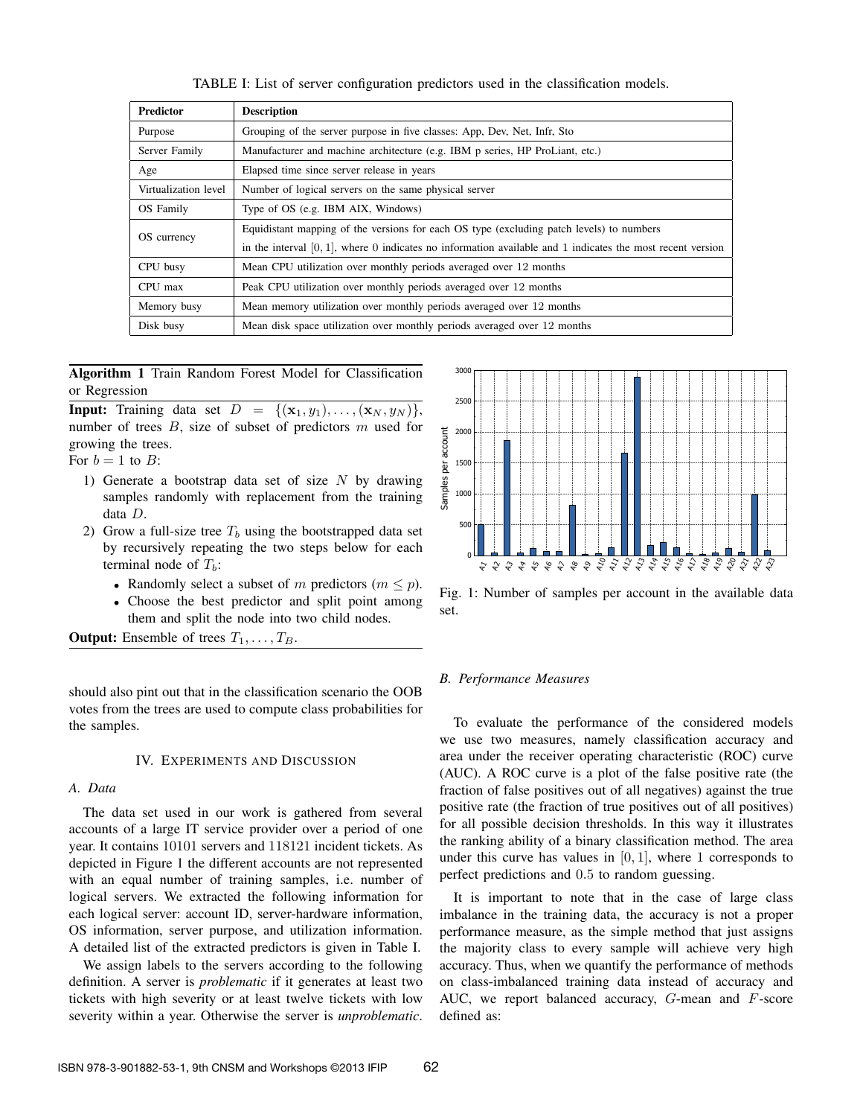TABLE I: List of server configuration predictors used in the classification models.

| <b>Predictor</b>     | <b>Description</b>                                                                                            |
|----------------------|---------------------------------------------------------------------------------------------------------------|
| Purpose              | Grouping of the server purpose in five classes: App, Dev, Net, Infr, Sto                                      |
| Server Family        | Manufacturer and machine architecture (e.g. IBM p series, HP ProLiant, etc.)                                  |
| Age                  | Elapsed time since server release in years                                                                    |
| Virtualization level | Number of logical servers on the same physical server                                                         |
| <b>OS</b> Family     | Type of OS (e.g. IBM AIX, Windows)                                                                            |
| OS currency          | Equidistant mapping of the versions for each OS type (excluding patch levels) to numbers                      |
|                      | in the interval $[0, 1]$ , where 0 indicates no information available and 1 indicates the most recent version |
| CPU busy             | Mean CPU utilization over monthly periods averaged over 12 months                                             |
| CPU max              | Peak CPU utilization over monthly periods averaged over 12 months                                             |
| Memory busy          | Mean memory utilization over monthly periods averaged over 12 months                                          |
| Disk busy            | Mean disk space utilization over monthly periods averaged over 12 months                                      |

# Algorithm 1 Train Random Forest Model for Classification or Regression

**Input:** Training data set  $D = \{(\mathbf{x}_1, y_1), \ldots, (\mathbf{x}_N, y_N)\},\$ number of trees  $B$ , size of subset of predictors  $m$  used for growing the trees.

For  $b = 1$  to  $B$ :

- 1) Generate a bootstrap data set of size  $N$  by drawing samples randomly with replacement from the training data D.
- 2) Grow a full-size tree  $T<sub>b</sub>$  using the bootstrapped data set by recursively repeating the two steps below for each terminal node of  $T_b$ :
	- Randomly select a subset of m predictors  $(m \leq p)$ .
	- Choose the best predictor and split point among them and split the node into two child nodes.

**Output:** Ensemble of trees  $T_1, \ldots, T_B$ .

should also pint out that in the classification scenario the OOB votes from the trees are used to compute class probabilities for the samples.

## IV. EXPERIMENTS AND DISCUSSION

## *A. Data*

The data set used in our work is gathered from several accounts of a large IT service provider over a period of one year. It contains 10101 servers and 118121 incident tickets. As depicted in Figure 1 the different accounts are not represented with an equal number of training samples, i.e. number of logical servers. We extracted the following information for each logical server: account ID, server-hardware information, OS information, server purpose, and utilization information. A detailed list of the extracted predictors is given in Table I.

We assign labels to the servers according to the following definition. A server is *problematic* if it generates at least two tickets with high severity or at least twelve tickets with low severity within a year. Otherwise the server is *unproblematic*.



Fig. 1: Number of samples per account in the available data set.

#### *B. Performance Measures*

To evaluate the performance of the considered models we use two measures, namely classification accuracy and area under the receiver operating characteristic (ROC) curve (AUC). A ROC curve is a plot of the false positive rate (the fraction of false positives out of all negatives) against the true positive rate (the fraction of true positives out of all positives) for all possible decision thresholds. In this way it illustrates the ranking ability of a binary classification method. The area under this curve has values in  $[0, 1]$ , where 1 corresponds to perfect predictions and 0.5 to random guessing.

It is important to note that in the case of large class imbalance in the training data, the accuracy is not a proper performance measure, as the simple method that just assigns the majority class to every sample will achieve very high accuracy. Thus, when we quantify the performance of methods on class-imbalanced training data instead of accuracy and AUC, we report balanced accuracy,  $G$ -mean and  $F$ -score defined as: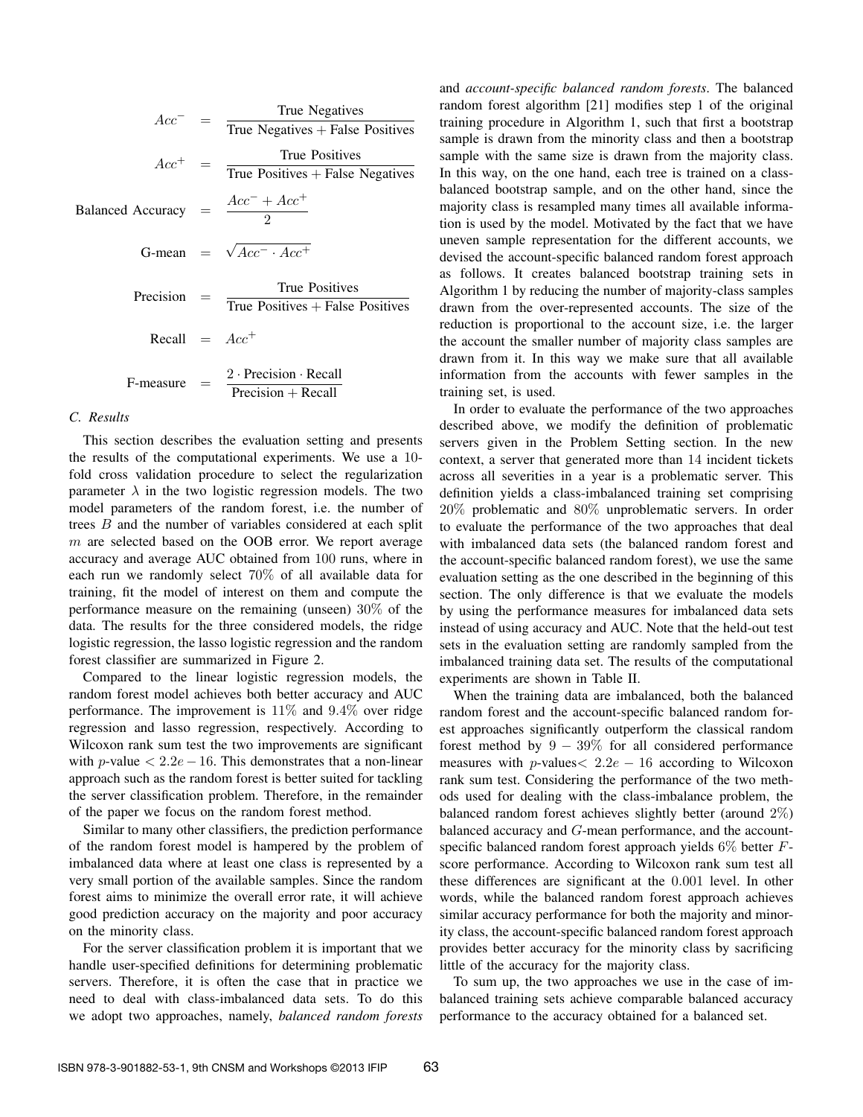| $Acc^-$ | $=$ | True Negatives                     |  |
|---------|-----|------------------------------------|--|
|         |     | True Negatives $+$ False Positives |  |
|         |     | <b>True Positives</b>              |  |

$$
Acc^{+} = \frac{1 \text{ the Poslives}}{\text{True Poslives} + \text{False Negatives}}
$$

$$
Acc^{-} + Acc^{+}
$$

2

Balanced Accuracy =

$$
G\text{-mean} = \sqrt{Acc^{-} \cdot Acc^{+}}
$$

Precision True Positives True Positives  $+$  False Positives

Recall  $= Acc^+$ 

$$
F-measure = \frac{2 \cdot Precision \cdot Recall}{Precision + Recall}
$$

# *C. Results*

This section describes the evaluation setting and presents the results of the computational experiments. We use a 10 fold cross validation procedure to select the regularization parameter  $\lambda$  in the two logistic regression models. The two model parameters of the random forest, i.e. the number of trees B and the number of variables considered at each split  $m$  are selected based on the OOB error. We report average accuracy and average AUC obtained from 100 runs, where in each run we randomly select 70% of all available data for training, fit the model of interest on them and compute the performance measure on the remaining (unseen) 30% of the data. The results for the three considered models, the ridge logistic regression, the lasso logistic regression and the random forest classifier are summarized in Figure 2.

Compared to the linear logistic regression models, the random forest model achieves both better accuracy and AUC performance. The improvement is  $11\%$  and  $9.4\%$  over ridge regression and lasso regression, respectively. According to Wilcoxon rank sum test the two improvements are significant with p-value  $\langle 2.2e-16.$  This demonstrates that a non-linear approach such as the random forest is better suited for tackling the server classification problem. Therefore, in the remainder of the paper we focus on the random forest method.

Similar to many other classifiers, the prediction performance of the random forest model is hampered by the problem of imbalanced data where at least one class is represented by a very small portion of the available samples. Since the random forest aims to minimize the overall error rate, it will achieve good prediction accuracy on the majority and poor accuracy on the minority class.

For the server classification problem it is important that we handle user-specified definitions for determining problematic servers. Therefore, it is often the case that in practice we need to deal with class-imbalanced data sets. To do this we adopt two approaches, namely, *balanced random forests* and *account-specific balanced random forests*. The balanced random forest algorithm [21] modifies step 1 of the original training procedure in Algorithm 1, such that first a bootstrap sample is drawn from the minority class and then a bootstrap sample with the same size is drawn from the majority class. In this way, on the one hand, each tree is trained on a classbalanced bootstrap sample, and on the other hand, since the majority class is resampled many times all available information is used by the model. Motivated by the fact that we have uneven sample representation for the different accounts, we devised the account-specific balanced random forest approach as follows. It creates balanced bootstrap training sets in Algorithm 1 by reducing the number of majority-class samples drawn from the over-represented accounts. The size of the reduction is proportional to the account size, i.e. the larger the account the smaller number of majority class samples are drawn from it. In this way we make sure that all available information from the accounts with fewer samples in the training set, is used.

In order to evaluate the performance of the two approaches described above, we modify the definition of problematic servers given in the Problem Setting section. In the new context, a server that generated more than 14 incident tickets across all severities in a year is a problematic server. This definition yields a class-imbalanced training set comprising 20% problematic and 80% unproblematic servers. In order to evaluate the performance of the two approaches that deal with imbalanced data sets (the balanced random forest and the account-specific balanced random forest), we use the same evaluation setting as the one described in the beginning of this section. The only difference is that we evaluate the models by using the performance measures for imbalanced data sets instead of using accuracy and AUC. Note that the held-out test sets in the evaluation setting are randomly sampled from the imbalanced training data set. The results of the computational experiments are shown in Table II.

When the training data are imbalanced, both the balanced random forest and the account-specific balanced random forest approaches significantly outperform the classical random forest method by  $9 - 39\%$  for all considered performance measures with p-values  $< 2.2e - 16$  according to Wilcoxon rank sum test. Considering the performance of the two methods used for dealing with the class-imbalance problem, the balanced random forest achieves slightly better (around 2%) balanced accuracy and G-mean performance, and the accountspecific balanced random forest approach yields  $6\%$  better  $F$ score performance. According to Wilcoxon rank sum test all these differences are significant at the 0.001 level. In other words, while the balanced random forest approach achieves similar accuracy performance for both the majority and minority class, the account-specific balanced random forest approach provides better accuracy for the minority class by sacrificing little of the accuracy for the majority class.

To sum up, the two approaches we use in the case of imbalanced training sets achieve comparable balanced accuracy performance to the accuracy obtained for a balanced set.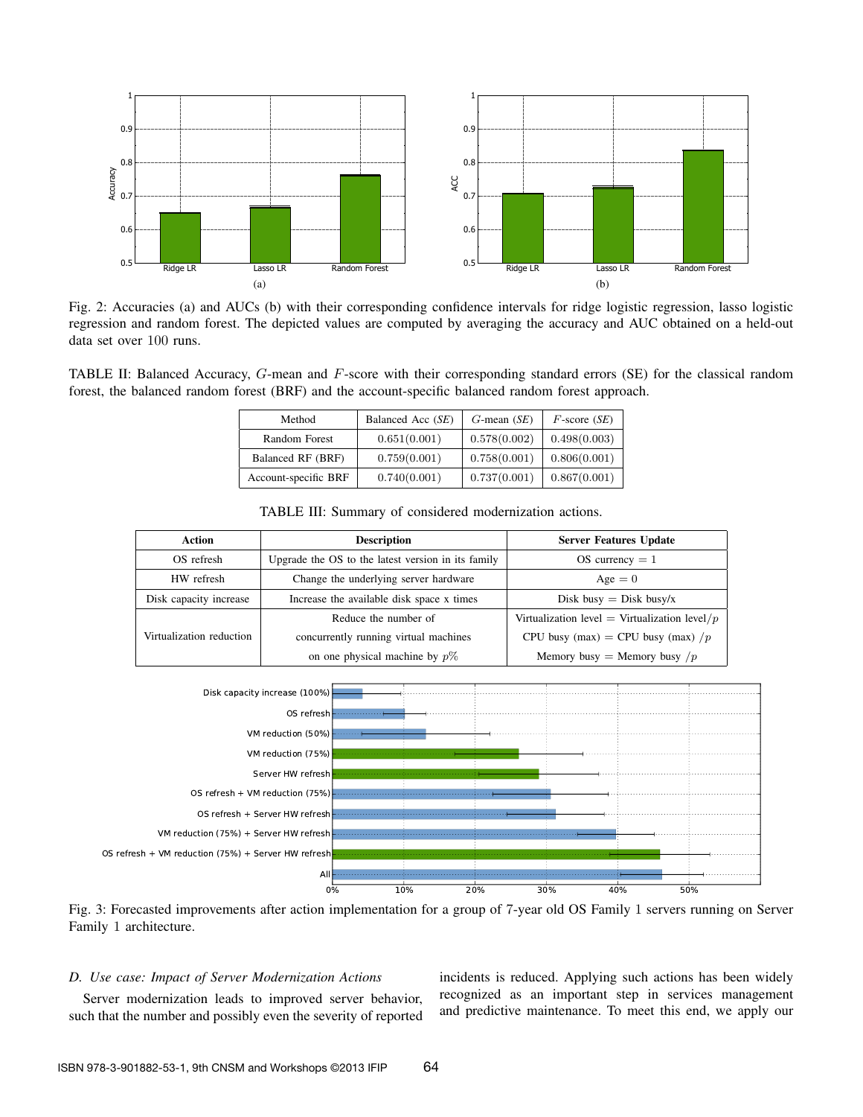

Fig. 2: Accuracies (a) and AUCs (b) with their corresponding confidence intervals for ridge logistic regression, lasso logistic regression and random forest. The depicted values are computed by averaging the accuracy and AUC obtained on a held-out data set over 100 runs.

TABLE II: Balanced Accuracy, G-mean and F-score with their corresponding standard errors (SE) for the classical random forest, the balanced random forest (BRF) and the account-specific balanced random forest approach.

| Method               | Balanced Acc (SE) | $G$ -mean $(SE)$ | $F$ -score $(SE)$ |
|----------------------|-------------------|------------------|-------------------|
| Random Forest        | 0.651(0.001)      | 0.578(0.002)     | 0.498(0.003)      |
| Balanced RF (BRF)    | 0.759(0.001)      | 0.758(0.001)     | 0.806(0.001)      |
| Account-specific BRF | 0.740(0.001)      | 0.737(0.001)     | 0.867(0.001)      |

| Action                   | <b>Description</b>                                 | <b>Server Features Update</b>                    |
|--------------------------|----------------------------------------------------|--------------------------------------------------|
| OS refresh               | Upgrade the OS to the latest version in its family | OS currency $= 1$                                |
| HW refresh               | Change the underlying server hardware              | $Age = 0$                                        |
| Disk capacity increase   | Increase the available disk space x times          | Disk busy = Disk busy/x                          |
|                          | Reduce the number of                               | Virtualization level = Virtualization level/ $p$ |
| Virtualization reduction | concurrently running virtual machines              | CPU busy (max) = CPU busy (max) /p               |
|                          | on one physical machine by $p\%$                   | Memory busy = Memory busy $/p$                   |

TABLE III: Summary of considered modernization actions.





# *D. Use case: Impact of Server Modernization Actions*

Server modernization leads to improved server behavior, such that the number and possibly even the severity of reported incidents is reduced. Applying such actions has been widely recognized as an important step in services management and predictive maintenance. To meet this end, we apply our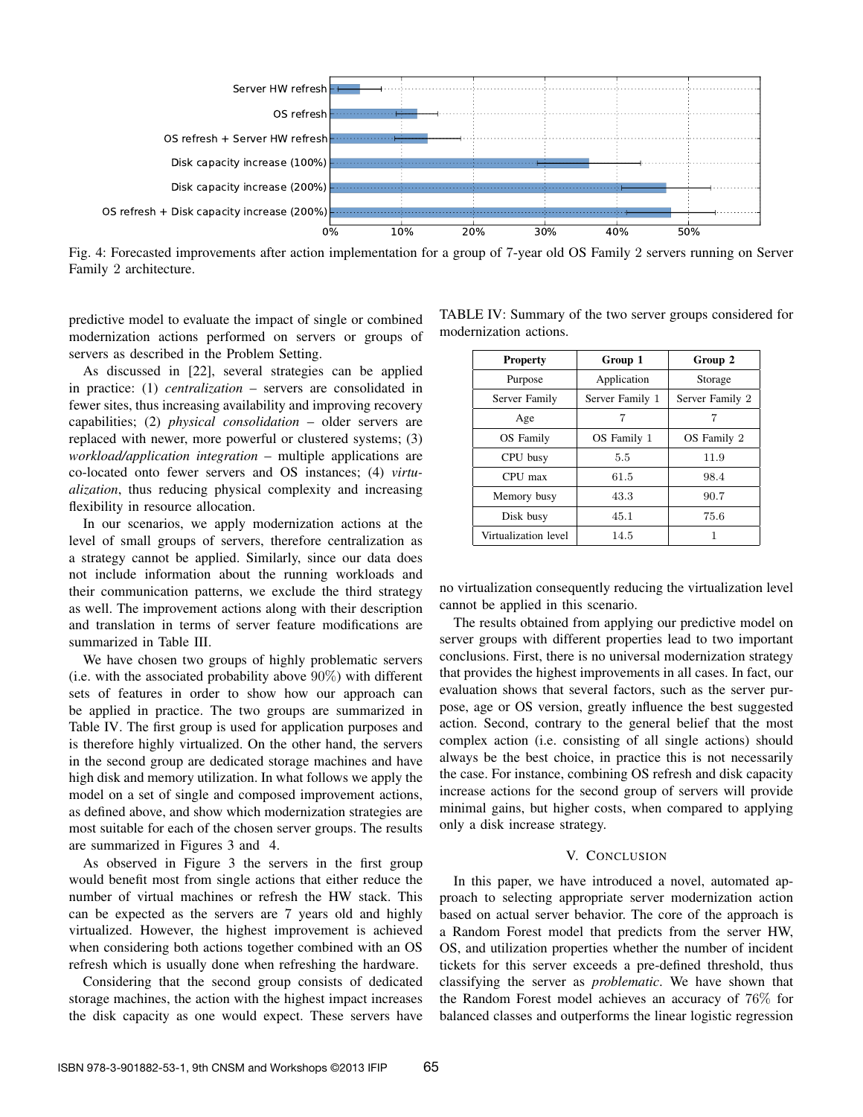

Fig. 4: Forecasted improvements after action implementation for a group of 7-year old OS Family 2 servers running on Server Family 2 architecture.

predictive model to evaluate the impact of single or combined modernization actions performed on servers or groups of servers as described in the Problem Setting.

As discussed in [22], several strategies can be applied in practice: (1) *centralization* – servers are consolidated in fewer sites, thus increasing availability and improving recovery capabilities; (2) *physical consolidation* – older servers are replaced with newer, more powerful or clustered systems; (3) *workload/application integration* – multiple applications are co-located onto fewer servers and OS instances; (4) *virtualization*, thus reducing physical complexity and increasing flexibility in resource allocation.

In our scenarios, we apply modernization actions at the level of small groups of servers, therefore centralization as a strategy cannot be applied. Similarly, since our data does not include information about the running workloads and their communication patterns, we exclude the third strategy as well. The improvement actions along with their description and translation in terms of server feature modifications are summarized in Table III.

We have chosen two groups of highly problematic servers (i.e. with the associated probability above  $90\%$ ) with different sets of features in order to show how our approach can be applied in practice. The two groups are summarized in Table IV. The first group is used for application purposes and is therefore highly virtualized. On the other hand, the servers in the second group are dedicated storage machines and have high disk and memory utilization. In what follows we apply the model on a set of single and composed improvement actions, as defined above, and show which modernization strategies are most suitable for each of the chosen server groups. The results are summarized in Figures 3 and 4.

As observed in Figure 3 the servers in the first group would benefit most from single actions that either reduce the number of virtual machines or refresh the HW stack. This can be expected as the servers are 7 years old and highly virtualized. However, the highest improvement is achieved when considering both actions together combined with an OS refresh which is usually done when refreshing the hardware.

Considering that the second group consists of dedicated storage machines, the action with the highest impact increases the disk capacity as one would expect. These servers have TABLE IV: Summary of the two server groups considered for modernization actions.

| <b>Property</b>      | Group 1         | Group 2         |
|----------------------|-----------------|-----------------|
| Purpose              | Application     | Storage         |
| Server Family        | Server Family 1 | Server Family 2 |
| Age                  |                 |                 |
| OS Family            | OS Family 1     | OS Family 2     |
| CPU busy             | 5.5             | 11.9            |
| CPU max              | 61.5            | 98.4            |
| Memory busy          | 43.3            | 90.7            |
| Disk busy            | 45.1            | 75.6            |
| Virtualization level | 14.5            | 1               |

no virtualization consequently reducing the virtualization level cannot be applied in this scenario.

The results obtained from applying our predictive model on server groups with different properties lead to two important conclusions. First, there is no universal modernization strategy that provides the highest improvements in all cases. In fact, our evaluation shows that several factors, such as the server purpose, age or OS version, greatly influence the best suggested action. Second, contrary to the general belief that the most complex action (i.e. consisting of all single actions) should always be the best choice, in practice this is not necessarily the case. For instance, combining OS refresh and disk capacity increase actions for the second group of servers will provide minimal gains, but higher costs, when compared to applying only a disk increase strategy.

### V. CONCLUSION

In this paper, we have introduced a novel, automated approach to selecting appropriate server modernization action based on actual server behavior. The core of the approach is a Random Forest model that predicts from the server HW, OS, and utilization properties whether the number of incident tickets for this server exceeds a pre-defined threshold, thus classifying the server as *problematic*. We have shown that the Random Forest model achieves an accuracy of 76% for balanced classes and outperforms the linear logistic regression